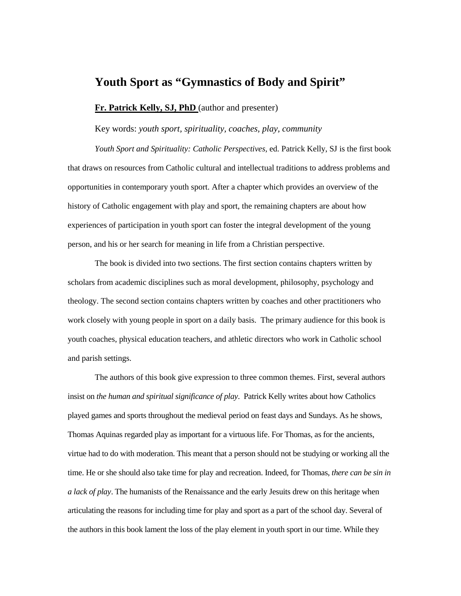## **Youth Sport as "Gymnastics of Body and Spirit"**

**Fr. Patrick Kelly, SJ, PhD** (author and presenter)

Key words: *youth sport, spirituality, coaches, play, community* 

*Youth Sport and Spirituality: Catholic Perspectives,* ed. Patrick Kelly, SJ is the first book that draws on resources from Catholic cultural and intellectual traditions to address problems and opportunities in contemporary youth sport. After a chapter which provides an overview of the history of Catholic engagement with play and sport, the remaining chapters are about how experiences of participation in youth sport can foster the integral development of the young person, and his or her search for meaning in life from a Christian perspective.

The book is divided into two sections. The first section contains chapters written by scholars from academic disciplines such as moral development, philosophy, psychology and theology. The second section contains chapters written by coaches and other practitioners who work closely with young people in sport on a daily basis. The primary audience for this book is youth coaches, physical education teachers, and athletic directors who work in Catholic school and parish settings.

The authors of this book give expression to three common themes. First, several authors insist on *the human and spiritual significance of play*. Patrick Kelly writes about how Catholics played games and sports throughout the medieval period on feast days and Sundays. As he shows, Thomas Aquinas regarded play as important for a virtuous life. For Thomas, as for the ancients, virtue had to do with moderation. This meant that a person should not be studying or working all the time. He or she should also take time for play and recreation. Indeed, for Thomas, *there can be sin in a lack of play*. The humanists of the Renaissance and the early Jesuits drew on this heritage when articulating the reasons for including time for play and sport as a part of the school day. Several of the authors in this book lament the loss of the play element in youth sport in our time. While they